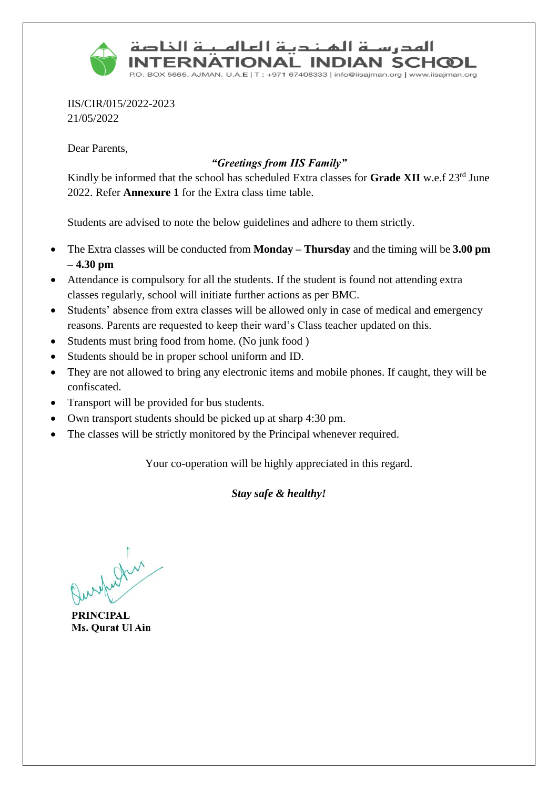

المدرسنة المنندية العالمينة الخاصة **ERNATIONAL INDIAN SCHCOL** 

BOX 5665, AJMAN, U.A.E | T : +971 67408333 | info@iisajman.org | www.iisajman.org

IIS/CIR/015/2022-2023 21/05/2022

Dear Parents,

#### *"Greetings from IIS Family"*

Kindly be informed that the school has scheduled Extra classes for **Grade XII** w.e.f 23rd June 2022. Refer **Annexure 1** for the Extra class time table.

Students are advised to note the below guidelines and adhere to them strictly.

- The Extra classes will be conducted from **Monday – Thursday** and the timing will be **3.00 pm – 4.30 pm**
- Attendance is compulsory for all the students. If the student is found not attending extra classes regularly, school will initiate further actions as per BMC.
- Students' absence from extra classes will be allowed only in case of medical and emergency reasons. Parents are requested to keep their ward's Class teacher updated on this.
- Students must bring food from home. (No junk food )
- Students should be in proper school uniform and ID.
- They are not allowed to bring any electronic items and mobile phones. If caught, they will be confiscated.
- Transport will be provided for bus students.
- Own transport students should be picked up at sharp 4:30 pm.
- The classes will be strictly monitored by the Principal whenever required.

Your co-operation will be highly appreciated in this regard.

#### *Stay safe & healthy!*

which is

**PRINCIPAL** Ms. Qurat Ul Ain